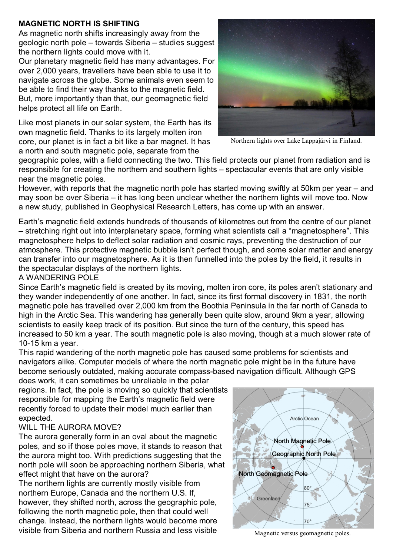## **MAGNETIC NORTH IS SHIFTING**

As magnetic north shifts increasingly away from the geologic north pole – towards Siberia – studies suggest the northern lights could move with it.

Our planetary magnetic field has many advantages. For over 2,000 years, travellers have been able to use it to navigate across the globe. Some animals even seem to be able to find their way thanks to the magnetic field. But, more importantly than that, our geomagnetic field helps protect all life on Earth.

Like most planets in our solar system, the Earth has its own magnetic field. Thanks to its largely molten iron core, our planet is in fact a bit like a bar magnet. It has a north and south magnetic pole, separate from the



Northern lights over Lake Lappajärvi in Finland.

geographic poles, with a field connecting the two. This field protects our planet from radiation and is responsible for creating the northern and southern lights – spectacular events that are only visible near the magnetic poles.

However, with reports that the magnetic north pole has started moving swiftly at 50km per year – and may soon be over Siberia – it has long been unclear whether the northern lights will move too. Now a new study, published in Geophysical Research Letters, has come up with an answer.

Earth's magnetic field extends hundreds of thousands of kilometres out from the centre of our planet – stretching right out into interplanetary space, forming what scientists call a "magnetosphere". This magnetosphere helps to deflect solar radiation and cosmic rays, preventing the destruction of our atmosphere. This protective magnetic bubble isn't perfect though, and some solar matter and energy can transfer into our magnetosphere. As it is then funnelled into the poles by the field, it results in the spectacular displays of the northern lights.

## A WANDERING POLE

Since Earth's magnetic field is created by its moving, molten iron core, its poles aren't stationary and they wander independently of one another. In fact, since its first formal discovery in 1831, the north magnetic pole has travelled over 2,000 km from the Boothia Peninsula in the far north of Canada to high in the Arctic Sea. This wandering has generally been quite slow, around 9km a year, allowing scientists to easily keep track of its position. But since the turn of the century, this speed has increased to 50 km a year. The south magnetic pole is also moving, though at a much slower rate of 10-15 km a year.

This rapid wandering of the north magnetic pole has caused some problems for scientists and navigators alike. Computer models of where the north magnetic pole might be in the future have become seriously outdated, making accurate compass-based navigation difficult. Although GPS does work, it can sometimes be unreliable in the polar

regions. In fact, the pole is moving so quickly that scientists responsible for mapping the Earth's magnetic field were recently forced to update their model much earlier than expected.

## WILL THE AURORA MOVE?

The aurora generally form in an oval about the magnetic poles, and so if those poles move, it stands to reason that the aurora might too. With predictions suggesting that the north pole will soon be approaching northern Siberia, what effect might that have on the aurora?

The northern lights are currently mostly visible from northern Europe, Canada and the northern U.S. If, however, they shifted north, across the geographic pole, following the north magnetic pole, then that could well change. Instead, the northern lights would become more visible from Siberia and northern Russia and less visible



Magnetic versus geomagnetic poles.